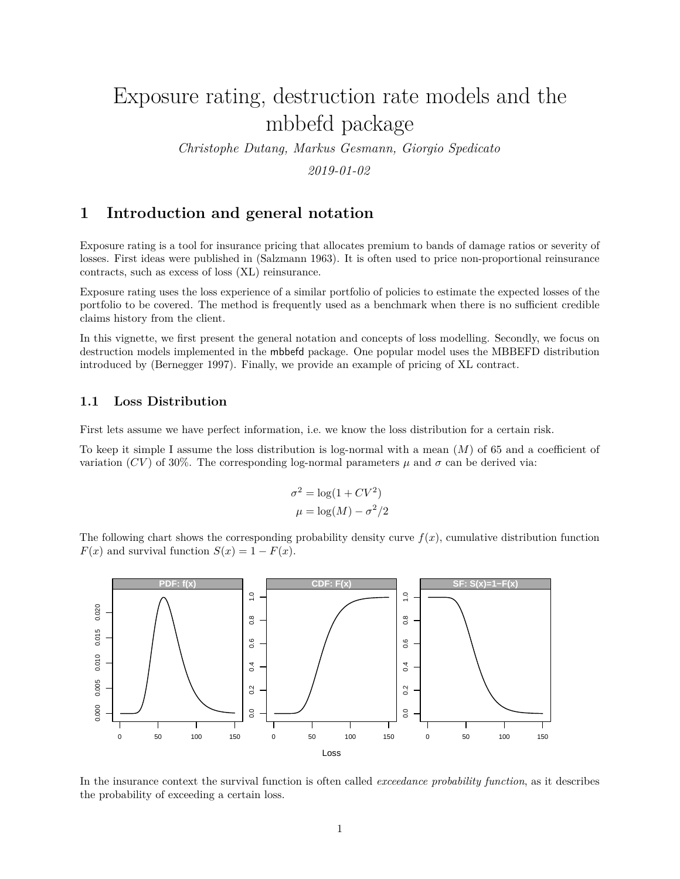# Exposure rating, destruction rate models and the mbbefd package

*Christophe Dutang, Markus Gesmann, Giorgio Spedicato 2019-01-02*

## **1 Introduction and general notation**

Exposure rating is a tool for insurance pricing that allocates premium to bands of damage ratios or severity of losses. First ideas were published in (Salzmann 1963). It is often used to price non-proportional reinsurance contracts, such as excess of loss (XL) reinsurance.

Exposure rating uses the loss experience of a similar portfolio of policies to estimate the expected losses of the portfolio to be covered. The method is frequently used as a benchmark when there is no sufficient credible claims history from the client.

In this vignette, we first present the general notation and concepts of loss modelling. Secondly, we focus on destruction models implemented in the mbbefd package. One popular model uses the MBBEFD distribution introduced by (Bernegger 1997). Finally, we provide an example of pricing of XL contract.

## **1.1 Loss Distribution**

First lets assume we have perfect information, i.e. we know the loss distribution for a certain risk.

To keep it simple I assume the loss distribution is log-normal with a mean (*M*) of 65 and a coefficient of variation (*CV*) of 30%. The corresponding log-normal parameters  $\mu$  and  $\sigma$  can be derived via:

$$
\sigma^2 = \log(1 + CV^2)
$$

$$
\mu = \log(M) - \sigma^2/2
$$

The following chart shows the corresponding probability density curve  $f(x)$ , cumulative distribution function  $F(x)$  and survival function  $S(x) = 1 - F(x)$ .



In the insurance context the survival function is often called *exceedance probability function*, as it describes the probability of exceeding a certain loss.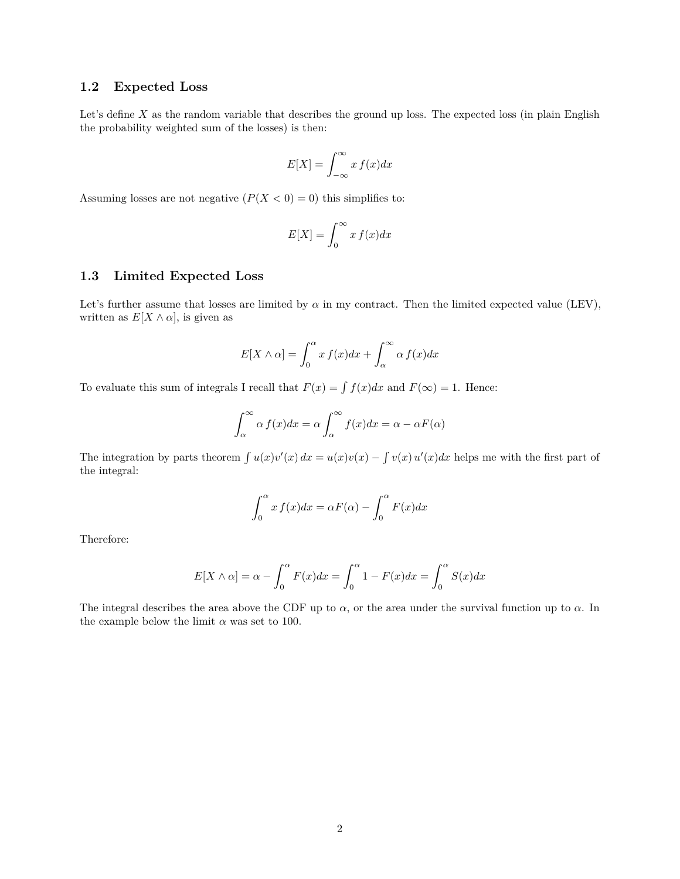## **1.2 Expected Loss**

Let's define *X* as the random variable that describes the ground up loss. The expected loss (in plain English the probability weighted sum of the losses) is then:

$$
E[X] = \int_{-\infty}^{\infty} x f(x) dx
$$

Assuming losses are not negative  $(P(X < 0) = 0)$  this simplifies to:

$$
E[X] = \int_0^\infty x f(x) dx
$$

### **1.3 Limited Expected Loss**

Let's further assume that losses are limited by  $\alpha$  in my contract. Then the limited expected value (LEV), written as  $E[X \wedge \alpha]$ , is given as

$$
E[X \wedge \alpha] = \int_0^\alpha x f(x) dx + \int_\alpha^\infty \alpha f(x) dx
$$

To evaluate this sum of integrals I recall that  $F(x) = \int f(x)dx$  and  $F(\infty) = 1$ . Hence:

$$
\int_{\alpha}^{\infty} \alpha f(x) dx = \alpha \int_{\alpha}^{\infty} f(x) dx = \alpha - \alpha F(\alpha)
$$

The integration by parts theorem  $\int u(x)v'(x) dx = u(x)v(x) - \int v(x)u'(x) dx$  helps me with the first part of the integral:

$$
\int_0^\alpha x f(x)dx = \alpha F(\alpha) - \int_0^\alpha F(x)dx
$$

Therefore:

$$
E[X \wedge \alpha] = \alpha - \int_0^{\alpha} F(x)dx = \int_0^{\alpha} 1 - F(x)dx = \int_0^{\alpha} S(x)dx
$$

The integral describes the area above the CDF up to *α*, or the area under the survival function up to *α*. In the example below the limit  $\alpha$  was set to 100.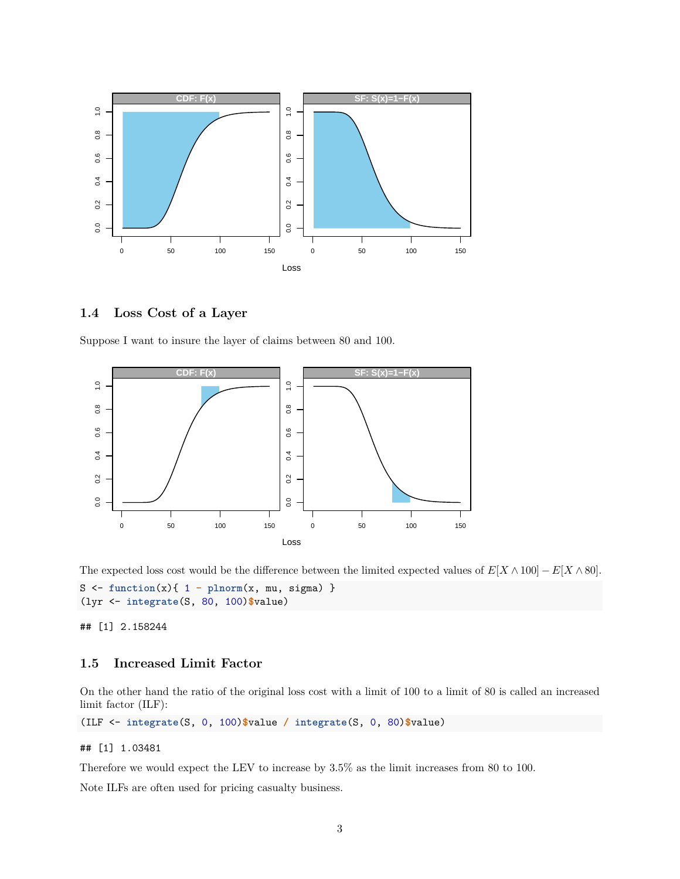

### **1.4 Loss Cost of a Layer**

Suppose I want to insure the layer of claims between 80 and 100.



The expected loss cost would be the difference between the limited expected values of  $E[X \wedge 100] - E[X \wedge 80]$ .  $S \leftarrow function(x) \{ 1 - plnorm(x, mu, sigma) \}$ (lyr <- **integrate**(S, 80, 100)**\$**value)

## [1] 2.158244

## **1.5 Increased Limit Factor**

On the other hand the ratio of the original loss cost with a limit of 100 to a limit of 80 is called an increased limit factor (ILF):

(ILF <- **integrate**(S, 0, 100)**\$**value **/ integrate**(S, 0, 80)**\$**value)

### ## [1] 1.03481

Therefore we would expect the LEV to increase by 3.5% as the limit increases from 80 to 100.

Note ILFs are often used for pricing casualty business.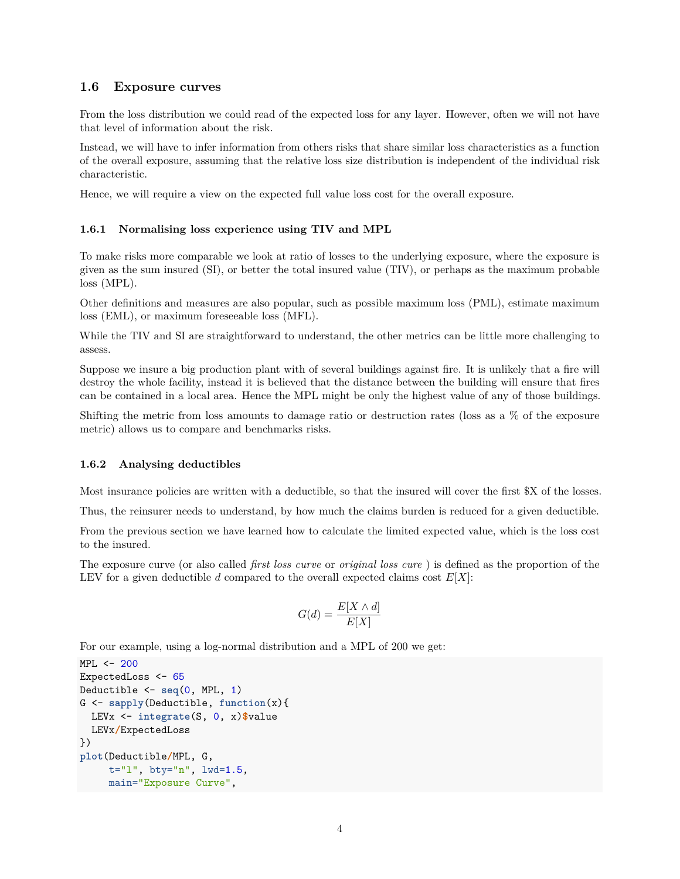## **1.6 Exposure curves**

From the loss distribution we could read of the expected loss for any layer. However, often we will not have that level of information about the risk.

Instead, we will have to infer information from others risks that share similar loss characteristics as a function of the overall exposure, assuming that the relative loss size distribution is independent of the individual risk characteristic.

Hence, we will require a view on the expected full value loss cost for the overall exposure.

## **1.6.1 Normalising loss experience using TIV and MPL**

To make risks more comparable we look at ratio of losses to the underlying exposure, where the exposure is given as the sum insured (SI), or better the total insured value (TIV), or perhaps as the maximum probable loss (MPL).

Other definitions and measures are also popular, such as possible maximum loss (PML), estimate maximum loss (EML), or maximum foreseeable loss (MFL).

While the TIV and SI are straightforward to understand, the other metrics can be little more challenging to assess.

Suppose we insure a big production plant with of several buildings against fire. It is unlikely that a fire will destroy the whole facility, instead it is believed that the distance between the building will ensure that fires can be contained in a local area. Hence the MPL might be only the highest value of any of those buildings.

Shifting the metric from loss amounts to damage ratio or destruction rates (loss as a % of the exposure metric) allows us to compare and benchmarks risks.

## **1.6.2 Analysing deductibles**

Most insurance policies are written with a deductible, so that the insured will cover the first \$X of the losses.

Thus, the reinsurer needs to understand, by how much the claims burden is reduced for a given deductible.

From the previous section we have learned how to calculate the limited expected value, which is the loss cost to the insured.

The exposure curve (or also called *first loss curve* or *original loss cure* ) is defined as the proportion of the LEV for a given deductible *d* compared to the overall expected claims cost  $E[X]$ :

$$
G(d) = \frac{E[X \wedge d]}{E[X]}
$$

For our example, using a log-normal distribution and a MPL of 200 we get:

```
MPL <- 200
ExpectedLoss <- 65
Deductible <- seq(0, MPL, 1)
G <- sapply(Deductible, function(x){
 LEVx <- integrate(S, 0, x)$value
 LEVx/ExpectedLoss
})
plot(Deductible/MPL, G,
     t="l", bty="n", lwd=1.5,
     main="Exposure Curve",
```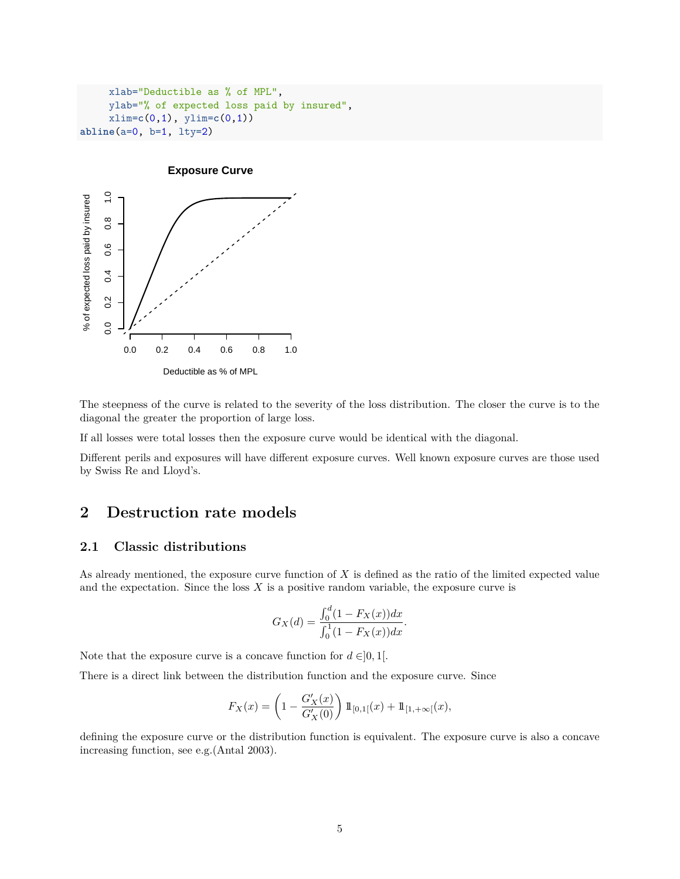```
xlab="Deductible as % of MPL",
     ylab="% of expected loss paid by insured",
     xlim=c(0,1), ylim=c(0,1))
abline(a=0, b=1, lty=2)
```


The steepness of the curve is related to the severity of the loss distribution. The closer the curve is to the diagonal the greater the proportion of large loss.

If all losses were total losses then the exposure curve would be identical with the diagonal.

Different perils and exposures will have different exposure curves. Well known exposure curves are those used by Swiss Re and Lloyd's.

## **2 Destruction rate models**

### **2.1 Classic distributions**

As already mentioned, the exposure curve function of *X* is defined as the ratio of the limited expected value and the expectation. Since the loss  $X$  is a positive random variable, the exposure curve is

$$
G_X(d) = \frac{\int_0^d (1 - F_X(x)) dx}{\int_0^1 (1 - F_X(x)) dx}.
$$

Note that the exposure curve is a concave function for  $d \in ]0,1[$ .

There is a direct link between the distribution function and the exposure curve. Since

$$
F_X(x)=\left(1-\frac{G'_X(x)}{G'_X(0)}\right)1\!\!1_{[0,1[}(x)+1\!\!1_{[1,+\infty[}(x),
$$

defining the exposure curve or the distribution function is equivalent. The exposure curve is also a concave increasing function, see e.g.(Antal 2003).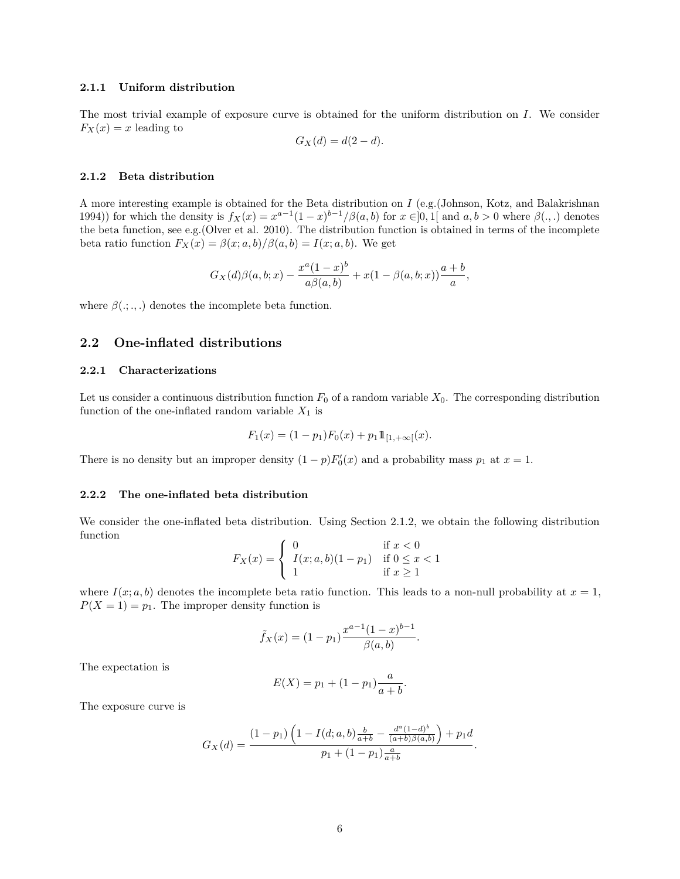#### **2.1.1 Uniform distribution**

The most trivial example of exposure curve is obtained for the uniform distribution on *I*. We consider  $F_X(x) = x$  leading to

$$
G_X(d) = d(2-d).
$$

#### <span id="page-5-0"></span>**2.1.2 Beta distribution**

A more interesting example is obtained for the Beta distribution on *I* (e.g.(Johnson, Kotz, and Balakrishnan 1994)) for which the density is  $f_X(x) = x^{a-1}(1-x)^{b-1}/\beta(a,b)$  for  $x \in ]0,1[$  and  $a,b>0$  where  $\beta(.,.)$  denotes the beta function, see e.g.(Olver et al. 2010). The distribution function is obtained in terms of the incomplete beta ratio function  $F_X(x) = \beta(x; a, b)/\beta(a, b) = I(x; a, b)$ . We get

$$
G_X(d)\beta(a, b; x) - \frac{x^a(1-x)^b}{a\beta(a, b)} + x(1 - \beta(a, b; x))\frac{a+b}{a},
$$

where  $\beta$ ( $\ldots$ ,) denotes the incomplete beta function.

## **2.2 One-inflated distributions**

#### **2.2.1 Characterizations**

Let us consider a continuous distribution function  $F_0$  of a random variable  $X_0$ . The corresponding distribution function of the one-inflated random variable  $X_1$  is

$$
F_1(x) = (1 - p_1)F_0(x) + p_1 1\!\!1_{[1, +\infty[}(x).
$$

There is no density but an improper density  $(1 - p)F'_0(x)$  and a probability mass  $p_1$  at  $x = 1$ .

#### **2.2.2 The one-inflated beta distribution**

We consider the one-inflated beta distribution. Using Section [2.1.2,](#page-5-0) we obtain the following distribution function

$$
F_X(x) = \begin{cases} 0 & \text{if } x < 0\\ I(x; a, b)(1 - p_1) & \text{if } 0 \le x < 1\\ 1 & \text{if } x \ge 1 \end{cases}
$$

where  $I(x; a, b)$  denotes the incomplete beta ratio function. This leads to a non-null probability at  $x = 1$ ,  $P(X = 1) = p_1$ . The improper density function is

$$
\tilde{f}_X(x) = (1 - p_1) \frac{x^{a-1}(1-x)^{b-1}}{\beta(a,b)}.
$$

The expectation is

$$
E(X) = p_1 + (1 - p_1) \frac{a}{a + b}.
$$

The exposure curve is

$$
G_X(d) = \frac{(1-p_1)\left(1 - I(d;a,b)\frac{b}{a+b} - \frac{d^a(1-d)^b}{(a+b)\beta(a,b)}\right) + p_1d}{p_1 + (1-p_1)\frac{a}{a+b}}.
$$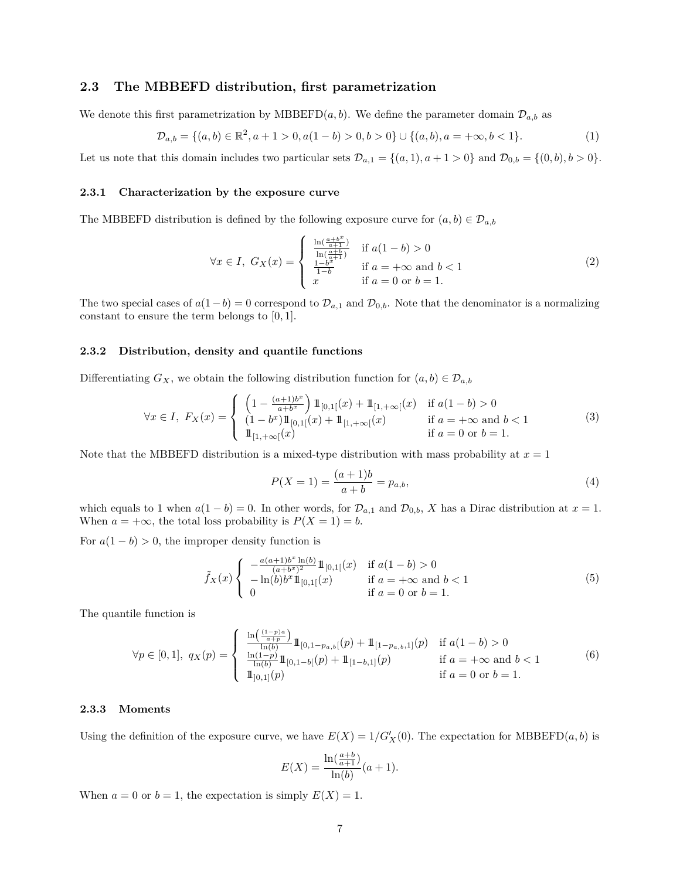#### **2.3 The MBBEFD distribution, first parametrization**

We denote this first parametrization by MBBEFD $(a, b)$ . We define the parameter domain  $\mathcal{D}_{a,b}$  as

$$
\mathcal{D}_{a,b} = \{(a,b) \in \mathbb{R}^2, a+1 > 0, a(1-b) > 0, b > 0\} \cup \{(a,b), a = +\infty, b < 1\}.\tag{1}
$$

Let us note that this domain includes two particular sets  $\mathcal{D}_{a,1} = \{(a,1), a+1 > 0\}$  and  $\mathcal{D}_{0,b} = \{(0,b), b > 0\}.$ 

#### **2.3.1 Characterization by the exposure curve**

The MBBEFD distribution is defined by the following exposure curve for  $(a, b) \in \mathcal{D}_{a,b}$ 

$$
\forall x \in I, \ G_X(x) = \begin{cases} \frac{\ln(\frac{a+b^x}{a+1})}{\ln(\frac{a+b}{a+1})} & \text{if } a(1-b) > 0\\ \frac{1-b^x}{1-b} & \text{if } a = +\infty \text{ and } b < 1\\ x & \text{if } a = 0 \text{ or } b = 1. \end{cases}
$$
 (2)

The two special cases of  $a(1-b) = 0$  correspond to  $\mathcal{D}_{a,1}$  and  $\mathcal{D}_{0,b}$ . Note that the denominator is a normalizing constant to ensure the term belongs to [0*,* 1].

#### **2.3.2 Distribution, density and quantile functions**

Differentiating  $G_X$ , we obtain the following distribution function for  $(a, b) \in \mathcal{D}_{a,b}$ 

$$
\forall x \in I, \ F_X(x) = \begin{cases} \left(1 - \frac{(a+1)b^x}{a+b^x}\right) 1\!\!1_{[0,1[}(x) + 1\!\!1_{[1,+\infty[}(x))] & \text{if } a(1-b) > 0\\ (1-b^x) 1\!\!1_{[0,1[}(x) + 1\!\!1_{[1,+\infty[}(x))] & \text{if } a = +\infty \text{ and } b < 1\\ 1\!\!1_{[1,+\infty[}(x)) & \text{if } a = 0 \text{ or } b = 1. \end{cases} \tag{3}
$$

Note that the MBBEFD distribution is a mixed-type distribution with mass probability at  $x = 1$ 

$$
P(X = 1) = \frac{(a+1)b}{a+b} = p_{a,b},
$$
\n<sup>(4)</sup>

which equals to 1 when  $a(1 - b) = 0$ . In other words, for  $\mathcal{D}_{a,1}$  and  $\mathcal{D}_{0,b}$ , *X* has a Dirac distribution at  $x = 1$ . When  $a = +\infty$ , the total loss probability is  $P(X = 1) = b$ .

For  $a(1-b) > 0$ , the improper density function is

$$
\tilde{f}_X(x) \begin{cases}\n-\frac{a(a+1)b^x \ln(b)}{(a+b^x)^2} 1\!\!1_{[0,1[}(x)) & \text{if } a(1-b) > 0 \\
-\ln(b)b^x 1\!\!1_{[0,1[}(x)) & \text{if } a = +\infty \text{ and } b < 1 \\
0 & \text{if } a = 0 \text{ or } b = 1.\n\end{cases}
$$
\n(5)

The quantile function is

$$
\forall p \in [0,1], \ q_X(p) = \begin{cases} \frac{\ln\left(\frac{(1-p)a}{a+p}\right)}{\ln(b)} 1\!\!1_{[0,1-p_{a,b}[}(p) + 1\!\!1_{[1-p_{a,b},1]}(p)) & \text{if } a(1-b) > 0\\ \frac{\ln(1-p)}{\ln(b)} 1\!\!1_{[0,1-b[}(p) + 1\!\!1_{[1-b,1]}(p)) & \text{if } a = +\infty \text{ and } b < 1\\ 1\!\!1_{[0,1]}(p) & \text{if } a = 0 \text{ or } b = 1. \end{cases} \tag{6}
$$

#### **2.3.3 Moments**

Using the definition of the exposure curve, we have  $E(X) = 1/G'_{X}(0)$ . The expectation for MBBEFD(*a, b*) is

$$
E(X) = \frac{\ln(\frac{a+b}{a+1})}{\ln(b)}(a+1).
$$

When  $a = 0$  or  $b = 1$ , the expectation is simply  $E(X) = 1$ .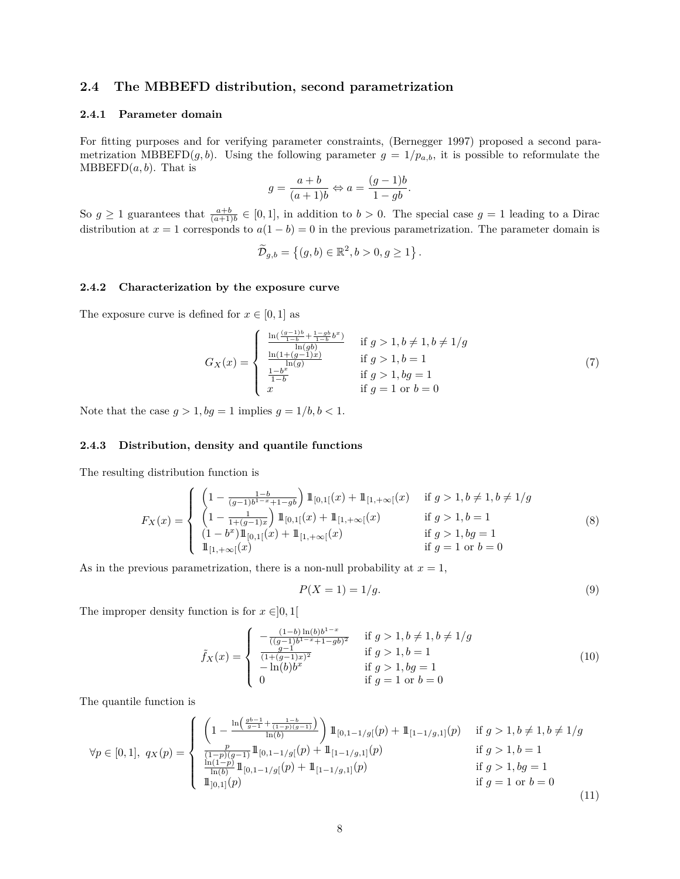### **2.4 The MBBEFD distribution, second parametrization**

#### **2.4.1 Parameter domain**

For fitting purposes and for verifying parameter constraints, (Bernegger 1997) proposed a second parametrization MBBEFD $(g, b)$ . Using the following parameter  $g = 1/p_{a,b}$ , it is possible to reformulate the  $MBBEFD(a, b)$ . That is

$$
g = \frac{a+b}{(a+1)b} \Leftrightarrow a = \frac{(g-1)b}{1-gb}.
$$

So  $g \ge 1$  guarantees that  $\frac{a+b}{(a+1)b} \in [0,1]$ , in addition to  $b > 0$ . The special case  $g = 1$  leading to a Dirac distribution at  $x = 1$  corresponds to  $a(1 - b) = 0$  in the previous parametrization. The parameter domain is

$$
\widetilde{\mathcal{D}}_{g,b} = \left\{ (g,b) \in \mathbb{R}^2, b > 0, g \ge 1 \right\}.
$$

#### **2.4.2 Characterization by the exposure curve**

The exposure curve is defined for  $x \in [0, 1]$  as

$$
G_X(x) = \begin{cases} \frac{\ln(\frac{(g-1)b}{1-b} + \frac{1-gb}{1-b}b^x)}{\ln(gb)} & \text{if } g > 1, b \neq 1, b \neq 1/g\\ \frac{\ln(1+(g-1)x)}{\ln(g)} & \text{if } g > 1, b = 1\\ \frac{1-b^x}{1-b} & \text{if } g > 1, bg = 1\\ x & \text{if } g = 1 \text{ or } b = 0 \end{cases} \tag{7}
$$

Note that the case  $g > 1$ ,  $bg = 1$  implies  $g = 1/b$ ,  $b < 1$ .

#### **2.4.3 Distribution, density and quantile functions**

The resulting distribution function is

$$
F_X(x) = \begin{cases} \n\left(1 - \frac{1 - b}{(g - 1)b^{1 - x} + 1 - gb}\right) 1\!\!1_{[0, 1]}(x) + 1\!\!1_{[1, +\infty[}(x)) & \text{if } g > 1, b \neq 1, b \neq 1/g \\
\left(1 - \frac{1}{1 + (g - 1)x}\right) 1\!\!1_{[0, 1]}(x) + 1\!\!1_{[1, +\infty[}(x)) & \text{if } g > 1, b = 1 \\
\left(1 - b^x\right) 1\!\!1_{[0, 1]}(x) + 1\!\!1_{[1, +\infty[}(x)) & \text{if } g > 1, bg = 1 \\
1\!\!1_{[1, +\infty[}(x)) & \text{if } g = 1 \text{ or } b = 0\n\end{cases} \tag{8}
$$

As in the previous parametrization, there is a non-null probability at  $x = 1$ ,

$$
P(X=1) = 1/g.\tag{9}
$$

The improper density function is for  $x \in ]0,1[$ 

$$
\tilde{f}_X(x) = \begin{cases}\n\frac{(1-b)\ln(b)b^{1-x}}{((g-1)b^{1-x} + 1 - gb)^2} & \text{if } g > 1, b \neq 1, b \neq 1/g \\
\frac{g-1}{(1+(g-1)x)^2} & \text{if } g > 1, b = 1 \\
-\ln(b)b^x & \text{if } g > 1, bg = 1 \\
0 & \text{if } g = 1 \text{ or } b = 0\n\end{cases}
$$
\n(10)

The quantile function is

$$
\forall p \in [0,1], q_X(p) = \begin{cases} \left(1 - \frac{\ln\left(\frac{gb-1}{g-1} + \frac{1-b}{(1-p)(g-1)}\right)}{\ln(b)}\right) 1\!\!1_{[0,1-1/g]}(p) + 1\!\!1_{[1-1/g,1]}(p) & \text{if } g > 1, b \neq 1, b \neq 1/g\\ \frac{p}{(1-p)(g-1)} 1\!\!1_{[0,1-1/g]}(p) + 1\!\!1_{[1-1/g,1]}(p) & \text{if } g > 1, b = 1\\ \frac{\ln(1-p)}{\ln(b)} 1\!\!1_{[0,1-1/g]}(p) + 1\!\!1_{[1-1/g,1]}(p) & \text{if } g > 1, bg = 1\\ 1\!\!1_{[0,1]}(p) & \text{if } g = 1 \text{ or } b = 0 \end{cases} \tag{11}
$$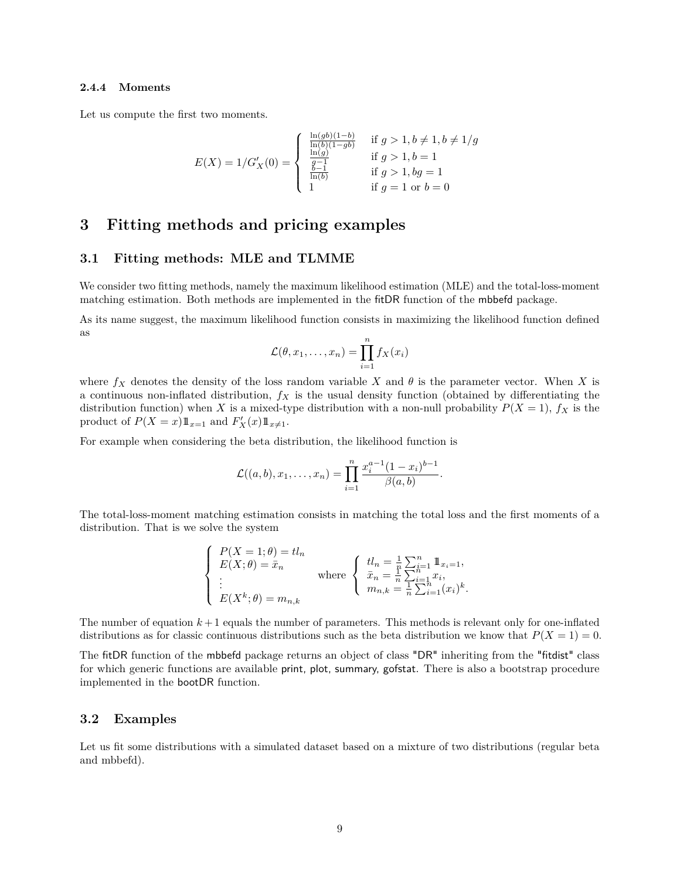#### **2.4.4 Moments**

Let us compute the first two moments.

$$
E(X) = 1/G'_X(0) = \begin{cases} \frac{\ln(gb)(1-b)}{\ln(b)(1-gb)} & \text{if } g > 1, b \neq 1, b \neq 1/g\\ \frac{\ln(g)}{g-1} & \text{if } g > 1, b = 1\\ \frac{b-1}{\ln(b)} & \text{if } g > 1, bg = 1\\ 1 & \text{if } g = 1 \text{ or } b = 0 \end{cases}
$$

## **3 Fitting methods and pricing examples**

#### **3.1 Fitting methods: MLE and TLMME**

We consider two fitting methods, namely the maximum likelihood estimation (MLE) and the total-loss-moment matching estimation. Both methods are implemented in the fitDR function of the mbbefd package.

As its name suggest, the maximum likelihood function consists in maximizing the likelihood function defined as

$$
\mathcal{L}(\theta, x_1, \dots, x_n) = \prod_{i=1}^n f_X(x_i)
$$

where  $f_X$  denotes the density of the loss random variable X and  $\theta$  is the parameter vector. When X is a continuous non-inflated distribution, *f<sup>X</sup>* is the usual density function (obtained by differentiating the distribution function) when *X* is a mixed-type distribution with a non-null probability  $P(X = 1)$ ,  $f_X$  is the product of  $P(X = x)1\!\!1_{x=1}$  and  $F'_X(x)1\!\!1_{x \neq 1}$ .

For example when considering the beta distribution, the likelihood function is

$$
\mathcal{L}((a,b),x_1,\ldots,x_n)=\prod_{i=1}^n\frac{x_i^{a-1}(1-x_i)^{b-1}}{\beta(a,b)}.
$$

The total-loss-moment matching estimation consists in matching the total loss and the first moments of a distribution. That is we solve the system

$$
\begin{cases}\nP(X = 1; \theta) = tl_n \\
E(X; \theta) = \bar{x}_n \\
\vdots \\
E(X^k; \theta) = m_{n,k}\n\end{cases}\n\text{ where }\n\begin{cases}\ntl_n = \frac{1}{n} \sum_{i=1}^n \mathbb{1}_{x_i = 1}, \\
\bar{x}_n = \frac{1}{n} \sum_{i=1}^n x_i, \\
m_{n,k} = \frac{1}{n} \sum_{i=1}^n (x_i)^k.\n\end{cases}
$$

The number of equation  $k+1$  equals the number of parameters. This methods is relevant only for one-inflated distributions as for classic continuous distributions such as the beta distribution we know that  $P(X = 1) = 0$ .

The fitDR function of the mbbefd package returns an object of class "DR" inheriting from the "fitdist" class for which generic functions are available print, plot, summary, gofstat. There is also a bootstrap procedure implemented in the bootDR function.

#### **3.2 Examples**

Let us fit some distributions with a simulated dataset based on a mixture of two distributions (regular beta and mbbefd).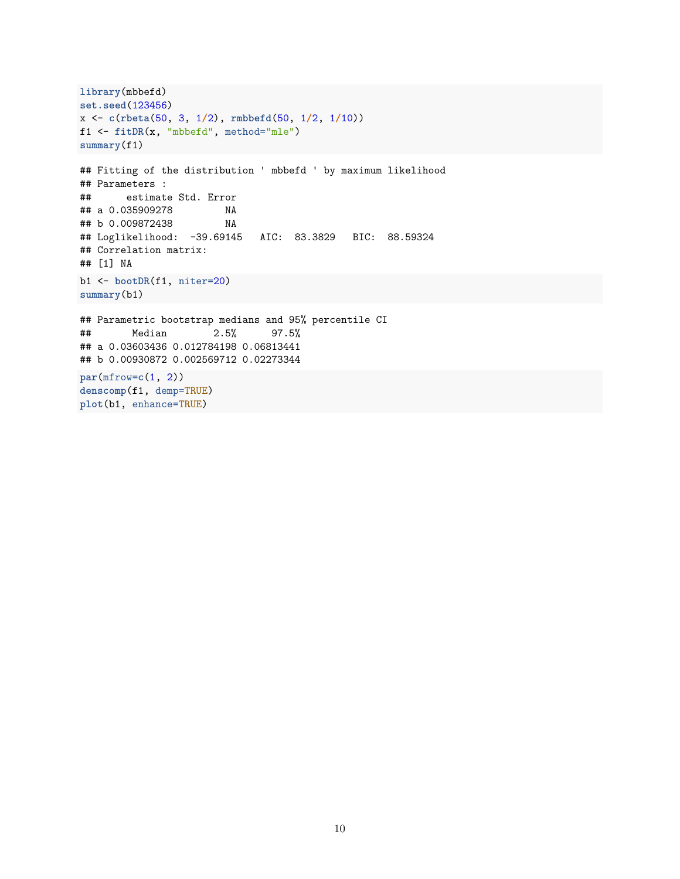```
library(mbbefd)
set.seed(123456)
x <- c(rbeta(50, 3, 1/2), rmbbefd(50, 1/2, 1/10))
f1 <- fitDR(x, "mbbefd", method="mle")
summary(f1)
## Fitting of the distribution ' mbbefd ' by maximum likelihood
## Parameters :
## estimate Std. Error
## a 0.035909278 NA
## b 0.009872438 NA
## Loglikelihood: -39.69145 AIC: 83.3829 BIC: 88.59324
## Correlation matrix:
## [1] NA
b1 <- bootDR(f1, niter=20)
summary(b1)
## Parametric bootstrap medians and 95% percentile CI
## Median 2.5% 97.5%
## a 0.03603436 0.012784198 0.06813441
## b 0.00930872 0.002569712 0.02273344
par(mfrow=c(1, 2))
denscomp(f1, demp=TRUE)
plot(b1, enhance=TRUE)
```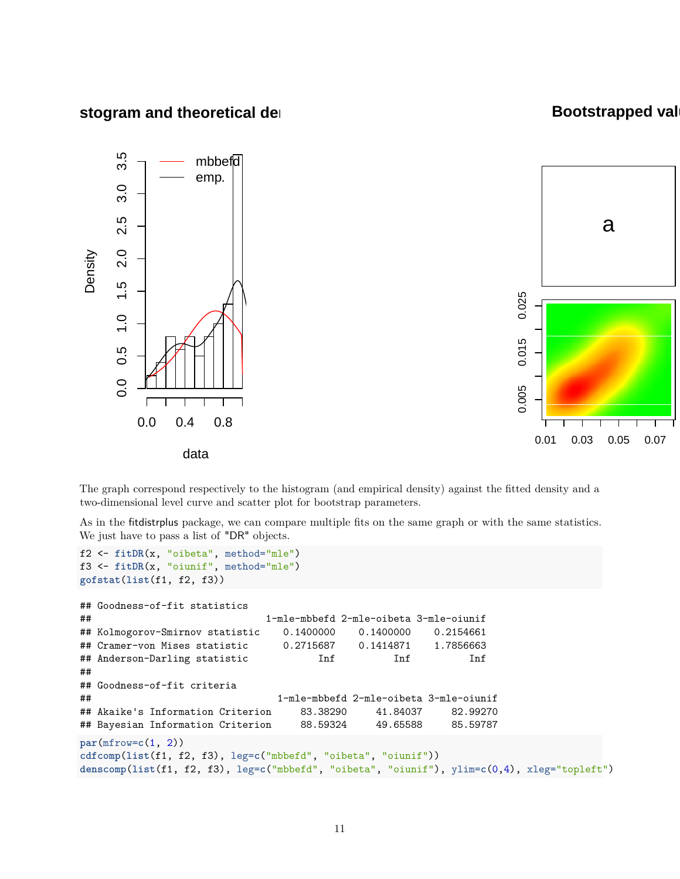## **stogram and theoretical densities**

## **Bootstrapped val**





The graph correspond respectively to the histogram (and empirical density) against the fitted density and a two-dimensional level curve and scatter plot for bootstrap parameters.

As in the fitdistrplus package, we can compare multiple fits on the same graph or with the same statistics. We just have to pass a list of "DR" objects.

```
f2 <- fitDR(x, "oibeta", method="mle")
f3 <- fitDR(x, "oiunif", method="mle")
gofstat(list(f1, f2, f3))
## Goodness-of-fit statistics
## 1-mle-mbbefd 2-mle-oibeta 3-mle-oiunif
## Kolmogorov-Smirnov statistic 0.1400000 0.1400000 0.2154661
## Cramer-von Mises statistic 0.2715687 0.1414871 1.7856663
## Anderson-Darling statistic Inf Inf Inf
##
## Goodness-of-fit criteria
## 1-mle-mbbefd 2-mle-oibeta 3-mle-oiunif
## Akaike's Information Criterion 83.38290 41.84037 82.99270
## Bayesian Information Criterion 88.59324 49.65588 85.59787
par(mfrow=c(1, 2))
cdfcomp(list(f1, f2, f3), leg=c("mbbefd", "oibeta", "oiunif"))
denscomp(list(f1, f2, f3), leg=c("mbbefd", "oibeta", "oiunif"), ylim=c(0,4), xleg="topleft")
```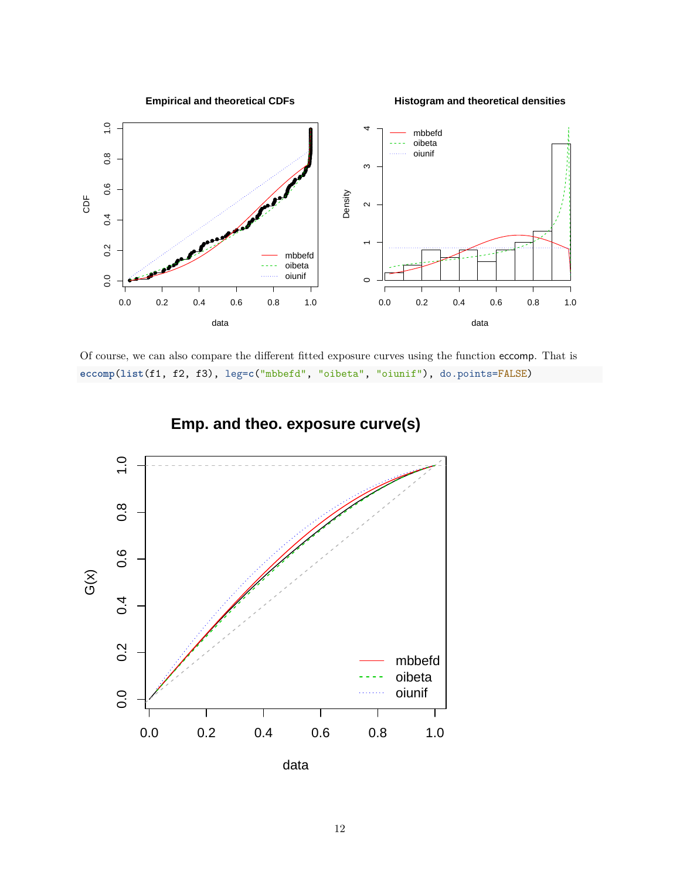

Of course, we can also compare the different fitted exposure curves using the function eccomp. That is **eccomp**(**list**(f1, f2, f3), leg=**c**("mbbefd", "oibeta", "oiunif"), do.points=FALSE)



**Emp. and theo. exposure curve(s)**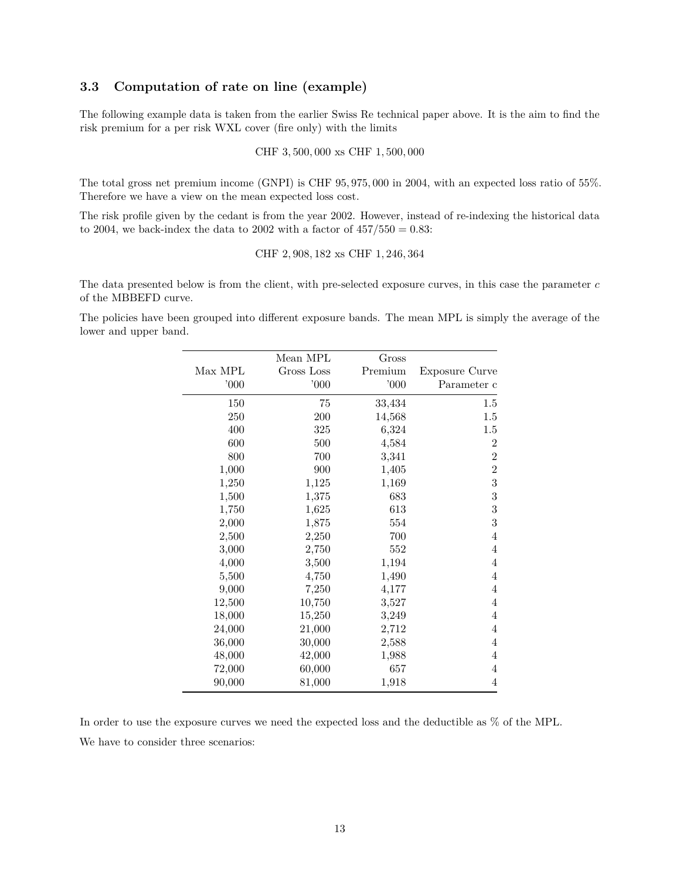## **3.3 Computation of rate on line (example)**

The following example data is taken from the earlier Swiss Re technical paper above. It is the aim to find the risk premium for a per risk WXL cover (fire only) with the limits

CHF 3*,* 500*,* 000 xs CHF 1*,* 500*,* 000

The total gross net premium income (GNPI) is CHF 95*,* 975*,* 000 in 2004, with an expected loss ratio of 55%. Therefore we have a view on the mean expected loss cost.

The risk profile given by the cedant is from the year 2002. However, instead of re-indexing the historical data to 2004, we back-index the data to 2002 with a factor of 457*/*550 = 0*.*83:

CHF 2*,* 908*,* 182 xs CHF 1*,* 246*,* 364

The data presented below is from the client, with pre-selected exposure curves, in this case the parameter *c* of the MBBEFD curve.

The policies have been grouped into different exposure bands. The mean MPL is simply the average of the lower and upper band.

|         | Mean MPL   | $\rm Gross$ |                       |
|---------|------------|-------------|-----------------------|
| Max MPL | Gross Loss | Premium     | <b>Exposure Curve</b> |
| 000     | 000        | 000'        | Parameter c           |
| 150     | 75         | 33,434      | 1.5                   |
| 250     | 200        | 14,568      | 1.5                   |
| 400     | 325        | 6,324       | 1.5                   |
| 600     | 500        | 4,584       | $\overline{2}$        |
| 800     | 700        | 3,341       | $\overline{2}$        |
| 1,000   | 900        | 1,405       | $\overline{2}$        |
| 1,250   | 1,125      | 1,169       | 3                     |
| 1,500   | 1,375      | 683         | 3                     |
| 1,750   | 1,625      | 613         | 3                     |
| 2,000   | 1,875      | 554         | 3                     |
| 2,500   | 2,250      | 700         | 4                     |
| 3,000   | 2,750      | 552         | $\overline{4}$        |
| 4,000   | 3,500      | 1,194       | 4                     |
| 5,500   | 4,750      | 1,490       | 4                     |
| 9,000   | 7,250      | 4,177       | 4                     |
| 12,500  | 10,750     | 3,527       | 4                     |
| 18,000  | 15,250     | 3,249       | 4                     |
| 24,000  | 21,000     | 2,712       | $\overline{4}$        |
| 36,000  | 30,000     | 2,588       | 4                     |
| 48,000  | 42,000     | 1,988       | $\overline{4}$        |
| 72,000  | 60,000     | 657         | $\overline{4}$        |
| 90,000  | 81,000     | 1,918       | 4                     |

In order to use the exposure curves we need the expected loss and the deductible as % of the MPL. We have to consider three scenarios: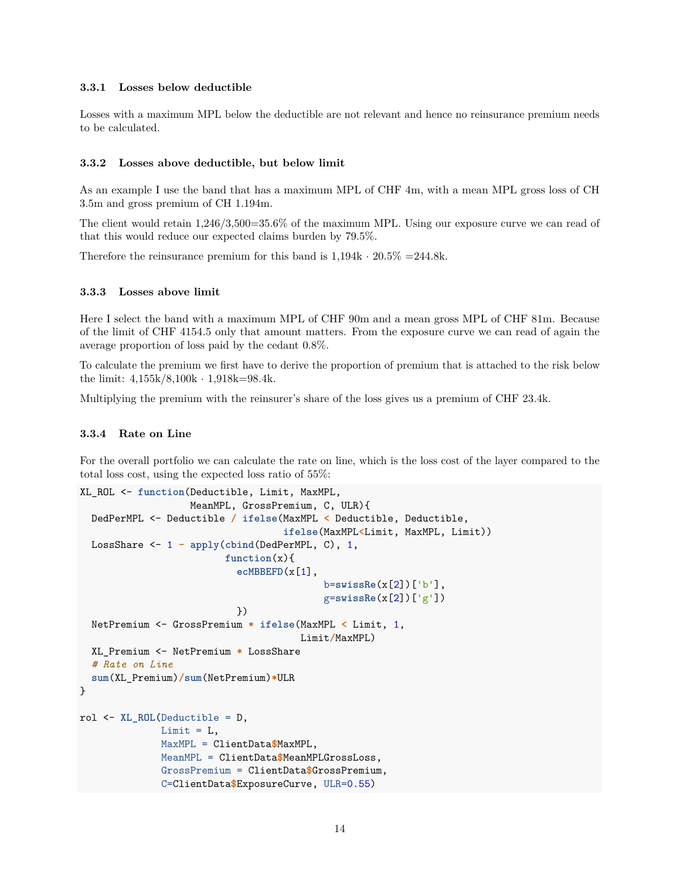#### **3.3.1 Losses below deductible**

Losses with a maximum MPL below the deductible are not relevant and hence no reinsurance premium needs to be calculated.

#### **3.3.2 Losses above deductible, but below limit**

As an example I use the band that has a maximum MPL of CHF 4m, with a mean MPL gross loss of CH 3.5m and gross premium of CH 1.194m.

The client would retain 1,246/3,500=35.6% of the maximum MPL. Using our exposure curve we can read of that this would reduce our expected claims burden by 79.5%.

Therefore the reinsurance premium for this band is  $1,194k \cdot 20.5\% = 244.8k$ .

### **3.3.3 Losses above limit**

Here I select the band with a maximum MPL of CHF 90m and a mean gross MPL of CHF 81m. Because of the limit of CHF 4154.5 only that amount matters. From the exposure curve we can read of again the average proportion of loss paid by the cedant 0.8%.

To calculate the premium we first have to derive the proportion of premium that is attached to the risk below the limit: 4,155k/8,100k · 1,918k=98.4k.

Multiplying the premium with the reinsurer's share of the loss gives us a premium of CHF 23.4k.

### **3.3.4 Rate on Line**

For the overall portfolio we can calculate the rate on line, which is the loss cost of the layer compared to the total loss cost, using the expected loss ratio of 55%:

```
XL_ROL <- function(Deductible, Limit, MaxMPL,
                   MeanMPL, GrossPremium, C, ULR){
  DedPerMPL <- Deductible / ifelse(MaxMPL < Deductible, Deductible,
                                   ifelse(MaxMPL<Limit, MaxMPL, Limit))
  LossShare <- 1 - apply(cbind(DedPerMPL, C), 1,
                         function(x){
                           ecMBBEFD(x[1],
                                          b=swissRe(x[2])['b'],
                                          g=swissRe(x[2])['g'])
                           })
  NetPremium <- GrossPremium * ifelse(MaxMPL < Limit, 1,
                                       Limit/MaxMPL)
  XL_Premium <- NetPremium * LossShare
  # Rate on Line
  sum(XL_Premium)/sum(NetPremium)*ULR
}
rol <- XL_ROL(Deductible = D,
              Limit = L,MaxMPL = ClientData$MaxMPL,
              MeanMPL = ClientData$MeanMPLGrossLoss,
              GrossPremium = ClientData$GrossPremium,
              C=ClientData$ExposureCurve, ULR=0.55)
```